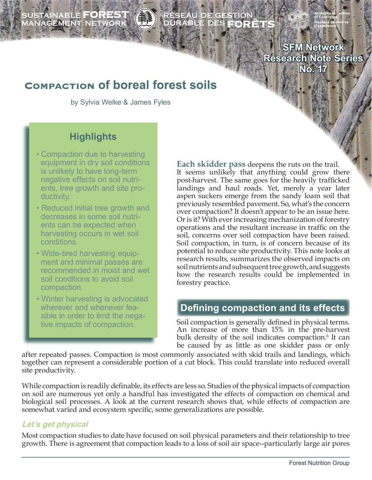# SUSTAINABLE **FOREST**<br>MANAGEMENT NETWORK

# RÉSEAU DE GESTION<br>DURABLE DES **FORÊT**

**SFM Network Research Note Series No. 17**

# **COMPACTION Of boreal forest soils**

by Sylvia Welke & James Fyles

## **Highlights**

- Compaction due to harvesting equipment in dry soil conditions is unlikely to have long-term negative effects on soil nutri ents, tree growth and site pro ductivity.
- Reduced initial tree growth and decreases in some soil nutri ents can be expected when harvesting occurs in wet soil conditions.
- Wide-tired harvesting equip ment and minimal passes are recommended in moist and wet soil conditions to avoid soil compaction.
- Winter harvesting is advocated wherever and whenever fea sible in order to limit the nega tive impacts of compaction.

**Each skidder pass** deepens the ruts on the trail. It seems unlikely that anything could grow there post-harvest. The same goes for the heavily trafficked landings and haul roads. Yet, merely a year later aspen suckers emerge from the sandy loam soil that previously resembled pavement. So, what's the concern over compaction? It doesn't appear to be an issue here. Or is it? With ever increasing mechanization of forestry operations and the resultant increase in traffic on the soil, concerns over soil compaction have been raised. Soil compaction, in turn, is of concern because of its potential to reduce site productivity. This note looks at research results, summarizes the observed impacts on soil nutrients and subsequent tree growth, and suggests how the research results could be implemented in forestry practice.

## **Defining compaction and its effects**

Soil compaction is generally defined in physical terms. An increase of more than 15% in the pre-harvest bulk density of the soil indicates compaction.<sup>6</sup> It can be caused by as little as one skidder pass or only

after repeated passes. Compaction is most commonly associated with skid trails and landings, which together can represent a considerable portion of a cut block. This could translate into reduced overall site productivity.

While compaction is readily definable, its effects are less so. Studies of the physical impacts of compaction on soil are numerous yet only a handful has investigated the effects of compaction on chemical and biological soil processes. A look at the current research shows that, while effects of compaction are somewhat varied and ecosystem specific, some generalizations are possible.

#### **Let's get physical**

Most compaction studies to date have focused on soil physical parameters and their relationship to tree growth. There is agreement that compaction leads to a loss of soil air space--particularly large air pores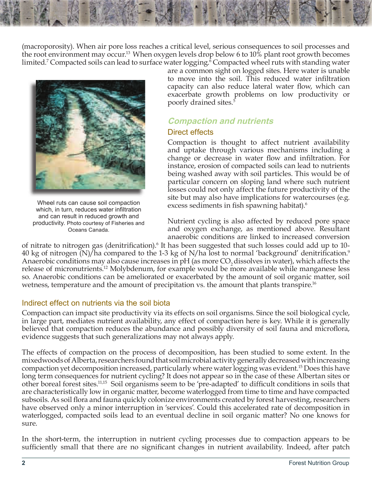(macroporosity). When air pore loss reaches a critical level, serious consequences to soil processes and the root environment may occur.13 When oxygen levels drop below 6 to 10% plant root growth becomes limited.<sup>7</sup> Compacted soils can lead to surface water logging.<sup>6</sup> Compacted wheel ruts with standing water



Wheel ruts can cause soil compaction which, in turn, reduces water infiltration and can result in reduced growth and productivity. Photo courtesy of Fisheries and Oceans Canada.

are a common sight on logged sites. Here water is unable to move into the soil. This reduced water infiltration capacity can also reduce lateral water flow, which can exacerbate growth problems on low productivity or poorly drained sites.5

## **Compaction and nutrients**

#### Direct effects

Compaction is thought to affect nutrient availability and uptake through various mechanisms including a change or decrease in water flow and infiltration. For instance, erosion of compacted soils can lead to nutrients being washed away with soil particles. This would be of particular concern on sloping land where such nutrient losses could not only affect the future productivity of the site but may also have implications for watercourses (e.g. excess sediments in fish spawning habitat).<sup>6</sup>

Nutrient cycling is also affected by reduced pore space and oxygen exchange, as mentioned above. Resultant anaerobic conditions are linked to increased conversion

of nitrate to nitrogen gas (denitrification).<sup>6</sup> It has been suggested that such losses could add up to 10-40 kg of nitrogen  $(N)/h$ a compared to the 1-3 kg of N/ha lost to normal 'background' denitrification.<sup>9</sup> Anaerobic conditions may also cause increases in  $pH$  (as more  $CO<sub>2</sub>$  dissolves in water), which affects the release of micronutrients.12 Molybdenum, for example would be more available while manganese less so. Anaerobic conditions can be ameliorated or exacerbated by the amount of soil organic matter, soil wetness, temperature and the amount of precipitation vs. the amount that plants transpire.<sup>16</sup>

#### Indirect effect on nutrients via the soil biota

Compaction can impact site productivity via its effects on soil organisms. Since the soil biological cycle, in large part, mediates nutrient availability, any effect of compaction here is key. While it is generally believed that compaction reduces the abundance and possibly diversity of soil fauna and microflora, evidence suggests that such generalizations may not always apply.

The effects of compaction on the process of decomposition, has been studied to some extent. In the mixedwoods of Alberta, researchers found that soil microbial activity generally decreased with increasing compaction yet decomposition increased, particularly where water logging was evident.15 Does this have long term consequences for nutrient cycling? It does not appear so in the case of these Albertan sites or other boreal forest sites.<sup>11,15</sup> Soil organisms seem to be 'pre-adapted' to difficult conditions in soils that are characteristically low in organic matter, become waterlogged from time to time and have compacted subsoils. As soil flora and fauna quickly colonize environments created by forest harvesting, researchers have observed only a minor interruption in 'services'. Could this accelerated rate of decomposition in waterlogged, compacted soils lead to an eventual decline in soil organic matter? No one knows for sure.

In the short-term, the interruption in nutrient cycling processes due to compaction appears to be sufficiently small that there are no significant changes in nutrient availability. Indeed, after patch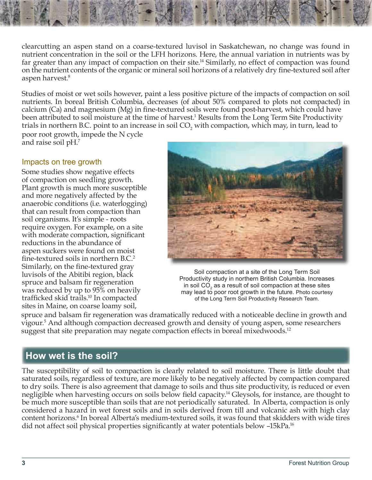clearcutting an aspen stand on a coarse-textured luvisol in Saskatchewan, no change was found in nutrient concentration in the soil or the LFH horizons. Here, the annual variation in nutrients was by far greater than any impact of compaction on their site.<sup>14</sup> Similarly, no effect of compaction was found on the nutrient contents of the organic or mineral soil horizons of a relatively dry fine-textured soil after aspen harvest.<sup>8</sup>

Studies of moist or wet soils however, paint a less positive picture of the impacts of compaction on soil nutrients. In boreal British Columbia, decreases (of about 50% compared to plots not compacted) in calcium (Ca) and magnesium (Mg) in fine-textured soils were found post-harvest, which could have been attributed to soil moisture at the time of harvest.<sup>1</sup> Results from the Long Term Site Productivity trials in northern B.C. point to an increase in soil  $\mathrm{CO}_2$  with compaction, which may, in turn, lead to poor root growth, impede the N cycle and raise soil pH.7

#### Impacts on tree growth

Some studies show negative effects of compaction on seedling growth. Plant growth is much more susceptible and more negatively affected by the anaerobic conditions (i.e. waterlogging) that can result from compaction than soil organisms. It's simple - roots require oxygen. For example, on a site with moderate compaction, significant reductions in the abundance of aspen suckers were found on moist fine-textured soils in northern B.C.<sup>2</sup> Similarly, on the fine-textured gray luvisols of the Abitibi region, black spruce and balsam fir regeneration was reduced by up to 95% on heavily trafficked skid trails.<sup>10</sup> In compacted sites in Maine, on coarse loamy soil,



Soil compaction at a site of the Long Term Soil Productivity study in northern British Columbia. Increases in soil CO<sub>2</sub> as a result of soil compaction at these sites may lead to poor root growth in the future. Photo courtesy of the Long Term Soil Productivity Research Team.

spruce and balsam fir regeneration was dramatically reduced with a noticeable decline in growth and vigour.5 And although compaction decreased growth and density of young aspen, some researchers suggest that site preparation may negate compaction effects in boreal mixedwoods.<sup>12</sup>

## **How wet is the soil?**

The susceptibility of soil to compaction is clearly related to soil moisture. There is little doubt that saturated soils, regardless of texture, are more likely to be negatively affected by compaction compared to dry soils. There is also agreement that damage to soils and thus site productivity, is reduced or even negligible when harvesting occurs on soils below field capacity.<sup>14</sup> Gleysols, for instance, are thought to be much more susceptible than soils that are not periodically saturated. In Alberta, compaction is only considered a hazard in wet forest soils and in soils derived from till and volcanic ash with high clay content horizons.<sup>6</sup> In boreal Alberta's medium-textured soils, it was found that skidders with wide tires did not affect soil physical properties significantly at water potentials below -15kPa.<sup>16</sup>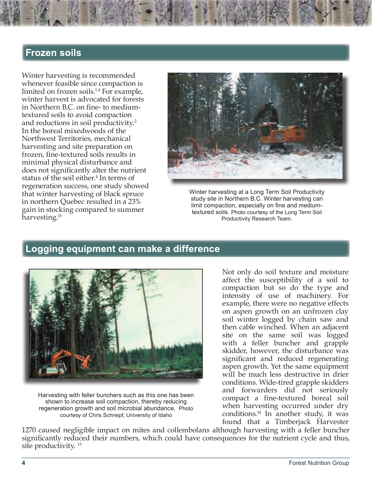## **Frozen soils**

Winter harvesting is recommended whenever feasible since compaction is limited on frozen soils.1,4 For example, winter harvest is advocated for forests in Northern B.C. on fine- to mediumtextured soils to avoid compaction and reductions in soil productivity.2 In the boreal mixedwoods of the Northwest Territories, mechanical harvesting and site preparation on frozen, fine-textured soils results in minimal physical disturbance and does not significantly alter the nutrient status of the soil either.<sup>4</sup> In terms of regeneration success, one study showed that winter harvesting of black spruce in northern Quebec resulted in a 23% gain in stocking compared to summer harvesting.15



Winter harvesting at a Long Term Soil Productivity study site in Northern B.C. Winter harvesting can limit compaction, especially on fine and mediumtextured soils. Photo courtesy of the Long Term Soil Productivity Research Team.

### **Logging equipment can make a difference**



Harvesting with feller bunchers such as this one has been shown to increase soil compaction, thereby reducing regeneration growth and soil microbial abundance. Photo courtesy of Chris Schnepf, University of Idaho

Not only do soil texture and moisture affect the susceptibility of a soil to compaction but so do the type and intensity of use of machinery. For example, there were no negative effects on aspen growth on an unfrozen clay soil winter logged by chain saw and then cable winched. When an adjacent site on the same soil was logged with a feller buncher and grapple skidder, however, the disturbance was significant and reduced regenerating aspen growth. Yet the same equipment will be much less destructive in drier conditions. Wide-tired grapple skidders and forwarders did not seriously compact a fine-textured boreal soil when harvesting occurred under dry conditions.14 In another study, it was found that a Timberjack Harvester

1270 caused negligible impact on mites and collembolans although harvesting with a feller buncher significantly reduced their numbers, which could have consequences for the nutrient cycle and thus, site productivity. 13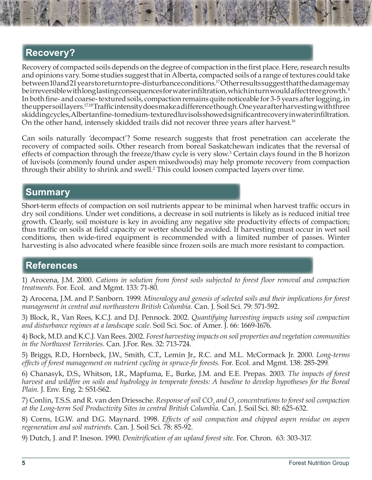## **Recovery?**

Recovery of compacted soils depends on the degree of compaction in the first place. Here, research results and opinions vary. Some studies suggest that in Alberta, compacted soils of a range of textures could take between 10 and 21 years to return to pre-disturbance conditions.17 Other results suggest that the damage may be irreversible with long lasting consequences for water infiltration, which in turn would affect tree growth.<sup>5</sup> In both fine- and coarse- textured soils, compaction remains quite noticeable for 3-5 years after logging, in the upper soil layers.<sup>17,18</sup> Traffic intensity does make a difference though. One year after harvesting with three skidding cycles, Albertan fine-to medium-textured luvisols showed significant recovery in water infiltration. On the other hand, intensely skidded trails did not recover three years after harvest.<sup>16</sup>

Can soils naturally 'decompact'? Some research suggests that frost penetration can accelerate the recovery of compacted soils. Other research from boreal Saskatchewan indicates that the reversal of effects of compaction through the freeze/thaw cycle is very slow.<sup>3</sup> Certain clays found in the B horizon of luvisols (commonly found under aspen mixedwoods) may help promote recovery from compaction through their ability to shrink and swell.<sup>2</sup> This could loosen compacted layers over time.

## **Summary**

Short-term effects of compaction on soil nutrients appear to be minimal when harvest traffic occurs in dry soil conditions. Under wet conditions, a decrease in soil nutrients is likely as is reduced initial tree growth. Clearly, soil moisture is key in avoiding any negative site productivity effects of compaction; thus traffic on soils at field capacity or wetter should be avoided. If harvesting must occur in wet soil conditions, then wide-tired equipment is recommended with a limited number of passes. Winter harvesting is also advocated where feasible since frozen soils are much more resistant to compaction.

## **References**

1) Arocena, J.M. 2000. *Cations in solution from forest soils subjected to forest floor removal and compaction treatments.* For. Ecol. and Mgmt. 133: 71-80.

2) Arocena, J.M. and P. Sanborn. 1999. *Mineralogy and genesis of selected soils and their implications for forest management in central and northeastern British Columbia.* Can. J. Soil Sci. 79: 571-592.

3) Block, R., Van Rees, K.C.J. and D.J. Pennock. 2002. *Quantifying harvesting impacts using soil compaction and disturbance regimes at a landscape scale.* Soil Sci. Soc. of Amer. J. 66: 1669-1676.

4) Bock, M.D. and K.C.J. Van Rees. 2002. *Forest harvesting impacts on soil properties and vegetation communities in the Northwest Territories.* Can. J.For. Res. 32: 713-724.

5) Briggs, R.D., Hornbeck, J.W., Smith, C.T., Lemin Jr., R.C. and M.L. McCormack Jr. 2000. *Long-terms effects of forest management on nutrient cycling in spruce-fi r forests.* For. Ecol. and Mgmt. 138: 285-299.

6) Chanasyk, D.S., Whitson, I.R., Mapfuma, E., Burke, J.M. and E.E. Prepas. 2003. *The impacts of forest harvest and wildfire on soils and hydrology in temperate forests: A baseline to develop hypotheses for the Boreal Plain.* J. Env. Eng. 2: S51-S62.

7) Conlin, T.S.S. and R. van den Driessche. *Response of soil* CO<sub>2</sub> and O<sub>2</sub> concentrations to forest soil compaction *at the Long-term Soil Productivity Sites in central British Columbia.* Can. J. Soil Sci. 80: 625-632.

8) Corns, I.G.W. and D.G. Maynard. 1998. *Effects of soil compaction and chipped aspen residue on aspen regeneration and soil nutrients.* Can. J. Soil Sci. 78: 85-92.

9) Dutch, J. and P. Ineson. 1990. *Denitrifi cation of an upland forest site.* For. Chron. 63: 303-317.